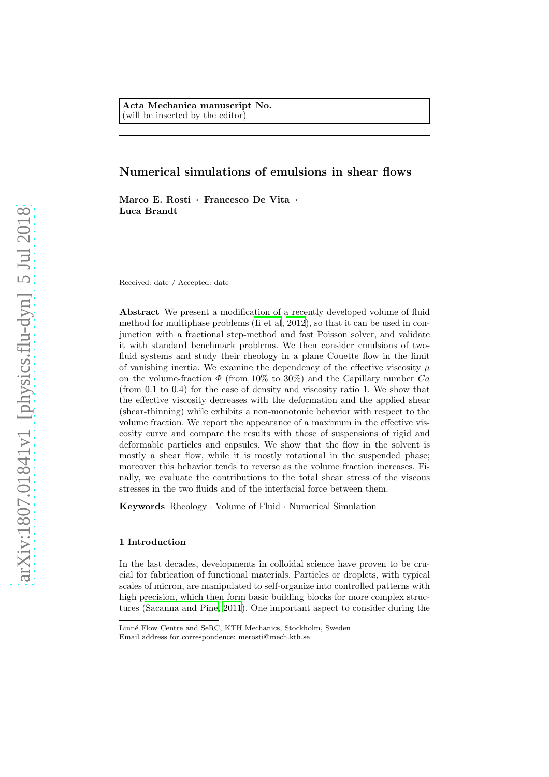# Numerical simulations of emulsions in shear flows

Marco E. Rosti · Francesco De Vita · Luca Brandt

Received: date / Accepted: date

Abstract We present a modification of a recently developed volume of fluid method for multiphase problems [\(Ii et al, 2012](#page-21-0)), so that it can be used in conjunction with a fractional step-method and fast Poisson solver, and validate it with standard benchmark problems. We then consider emulsions of twofluid systems and study their rheology in a plane Couette flow in the limit of vanishing inertia. We examine the dependency of the effective viscosity  $\mu$ on the volume-fraction  $\Phi$  (from 10% to 30%) and the Capillary number  $Ca$ (from 0.1 to 0.4) for the case of density and viscosity ratio 1. We show that the effective viscosity decreases with the deformation and the applied shear (shear-thinning) while exhibits a non-monotonic behavior with respect to the volume fraction. We report the appearance of a maximum in the effective viscosity curve and compare the results with those of suspensions of rigid and deformable particles and capsules. We show that the flow in the solvent is mostly a shear flow, while it is mostly rotational in the suspended phase; moreover this behavior tends to reverse as the volume fraction increases. Finally, we evaluate the contributions to the total shear stress of the viscous stresses in the two fluids and of the interfacial force between them.

Keywords Rheology · Volume of Fluid · Numerical Simulation

# 1 Introduction

In the last decades, developments in colloidal science have proven to be crucial for fabrication of functional materials. Particles or droplets, with typical scales of micron, are manipulated to self-organize into controlled patterns with high precision, which then form basic building blocks for more complex structures [\(Sacanna and Pine](#page-23-0), [2011\)](#page-23-0). One important aspect to consider during the

Linn´e Flow Centre and SeRC, KTH Mechanics, Stockholm, Sweden Email address for correspondence: merosti@mech.kth.se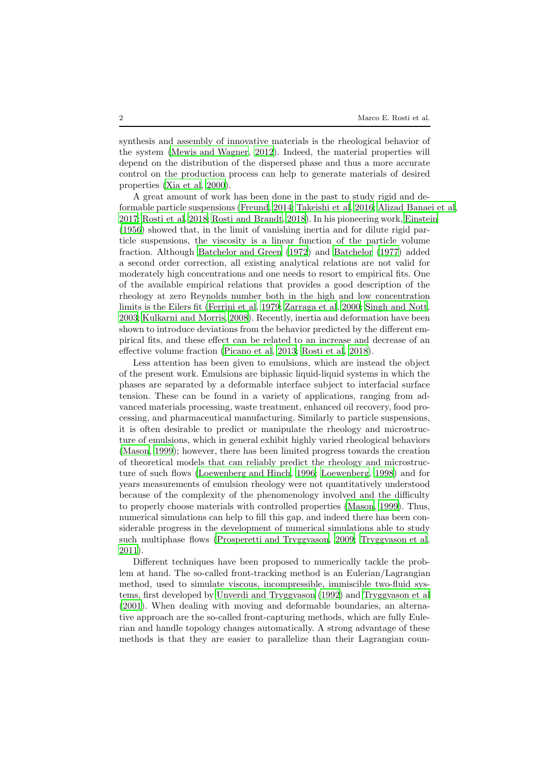synthesis and assembly of innovative materials is the rheological behavior of the system [\(Mewis and Wagner](#page-22-0), [2012\)](#page-22-0). Indeed, the material properties will depend on the distribution of the dispersed phase and thus a more accurate control on the production process can help to generate materials of desired properties [\(Xia et al, 2000\)](#page-23-1).

A great amount of work has been done in the past to study rigid and deformable particle suspensions [\(Freund](#page-21-1), [2014](#page-21-1); [Takeishi et al, 2016;](#page-23-2) [Alizad Banaei et al](#page-20-0), [2017](#page-20-0); [Rosti et al, 2018;](#page-22-1) [Rosti and Brandt](#page-22-2), [2018\)](#page-22-2). In his pioneering work, [Einstein](#page-21-2) [\(1956](#page-21-2)) showed that, in the limit of vanishing inertia and for dilute rigid particle suspensions, the viscosity is a linear function of the particle volume fraction. Although [Batchelor and Green \(1972\)](#page-20-1) and [Batchelor \(1977\)](#page-20-2) added a second order correction, all existing analytical relations are not valid for moderately high concentrations and one needs to resort to empirical fits. One of the available empirical relations that provides a good description of the rheology at zero Reynolds number both in the high and low concentration limits is the Eilers fit [\(Ferrini et al, 1979;](#page-21-3) [Zarraga et al](#page-24-0), [2000;](#page-24-0) [Singh and Nott](#page-23-3), [2003](#page-23-3); [Kulkarni and Morris, 2008\)](#page-21-4). Recently, inertia and deformation have been shown to introduce deviations from the behavior predicted by the different empirical fits, and these effect can be related to an increase and decrease of an effective volume fraction [\(Picano et al, 2013;](#page-22-3) [Rosti et al, 2018\)](#page-22-1).

Less attention has been given to emulsions, which are instead the object of the present work. Emulsions are biphasic liquid-liquid systems in which the phases are separated by a deformable interface subject to interfacial surface tension. These can be found in a variety of applications, ranging from advanced materials processing, waste treatment, enhanced oil recovery, food processing, and pharmaceutical manufacturing. Similarly to particle suspensions, it is often desirable to predict or manipulate the rheology and microstructure of emulsions, which in general exhibit highly varied rheological behaviors [\(Mason, 1999\)](#page-22-4); however, there has been limited progress towards the creation of theoretical models that can reliably predict the rheology and microstructure of such flows [\(Loewenberg and Hinch, 1996;](#page-22-5) [Loewenberg, 1998\)](#page-22-6) and for years measurements of emulsion rheology were not quantitatively understood because of the complexity of the phenomenology involved and the difficulty to properly choose materials with controlled properties [\(Mason](#page-22-4), [1999\)](#page-22-4). Thus, numerical simulations can help to fill this gap, and indeed there has been considerable progress in the development of numerical simulations able to study such multiphase flows [\(Prosperetti and Tryggvason](#page-22-7), [2009;](#page-22-7) [Tryggvason et al](#page-23-4), [2011](#page-23-4)).

Different techniques have been proposed to numerically tackle the problem at hand. The so-called front-tracking method is an Eulerian/Lagrangian method, used to simulate viscous, incompressible, immiscible two-fluid systems, first developed by [Unverdi and Tryggvason \(1992](#page-23-5)) and [Tryggvason et al](#page-23-6) [\(2001](#page-23-6)). When dealing with moving and deformable boundaries, an alternative approach are the so-called front-capturing methods, which are fully Eulerian and handle topology changes automatically. A strong advantage of these methods is that they are easier to parallelize than their Lagrangian coun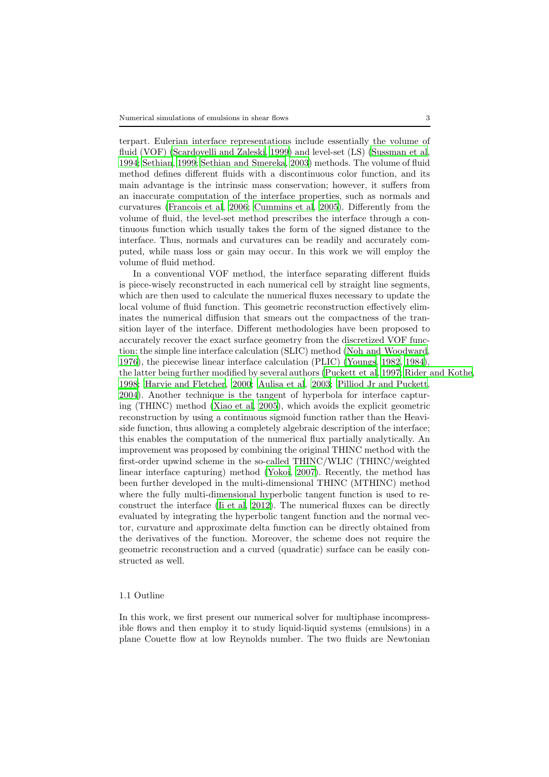terpart. Eulerian interface representations include essentially the volume of fluid (VOF) [\(Scardovelli and Zaleski](#page-23-7), [1999\)](#page-23-7) and level-set (LS) [\(Sussman et al](#page-23-8), [1994](#page-23-8); [Sethian](#page-23-9), [1999;](#page-23-9) [Sethian and Smereka](#page-23-10), [2003\)](#page-23-10) methods. The volume of fluid method defines different fluids with a discontinuous color function, and its main advantage is the intrinsic mass conservation; however, it suffers from an inaccurate computation of the interface properties, such as normals and curvatures [\(Francois et al, 2006;](#page-21-5) [Cummins et al, 2005\)](#page-21-6). Differently from the volume of fluid, the level-set method prescribes the interface through a continuous function which usually takes the form of the signed distance to the interface. Thus, normals and curvatures can be readily and accurately computed, while mass loss or gain may occur. In this work we will employ the volume of fluid method.

In a conventional VOF method, the interface separating different fluids is piece-wisely reconstructed in each numerical cell by straight line segments, which are then used to calculate the numerical fluxes necessary to update the local volume of fluid function. This geometric reconstruction effectively eliminates the numerical diffusion that smears out the compactness of the transition layer of the interface. Different methodologies have been proposed to accurately recover the exact surface geometry from the discretized VOF function: the simple line interface calculation (SLIC) method [\(Noh and Woodward](#page-22-8), [1976](#page-22-8)), the piecewise linear interface calculation (PLIC) [\(Youngs, 1982,](#page-23-11) [1984\)](#page-23-12), the latter being further modified by several authors [\(Puckett et](#page-22-9) al, [1997;](#page-22-9) [Rider and Kothe,](#page-22-10) [1998](#page-22-10); [Harvie and Fletcher](#page-21-7), [2000](#page-21-7); [Aulisa et al](#page-20-3), [2003;](#page-20-3) [Pilliod Jr and Puckett](#page-22-11), [2004](#page-22-11)). Another technique is the tangent of hyperbola for interface capturing (THINC) method [\(Xiao et al](#page-23-13), [2005\)](#page-23-13), which avoids the explicit geometric reconstruction by using a continuous sigmoid function rather than the Heaviside function, thus allowing a completely algebraic description of the interface; this enables the computation of the numerical flux partially analytically. An improvement was proposed by combining the original THINC method with the first-order upwind scheme in the so-called THINC/WLIC (THINC/weighted linear interface capturing) method [\(Yokoi, 2007\)](#page-23-14). Recently, the method has been further developed in the multi-dimensional THINC (MTHINC) method where the fully multi-dimensional hyperbolic tangent function is used to reconstruct the interface [\(Ii et al, 2012\)](#page-21-0). The numerical fluxes can be directly evaluated by integrating the hyperbolic tangent function and the normal vector, curvature and approximate delta function can be directly obtained from the derivatives of the function. Moreover, the scheme does not require the geometric reconstruction and a curved (quadratic) surface can be easily constructed as well.

### 1.1 Outline

In this work, we first present our numerical solver for multiphase incompressible flows and then employ it to study liquid-liquid systems (emulsions) in a plane Couette flow at low Reynolds number. The two fluids are Newtonian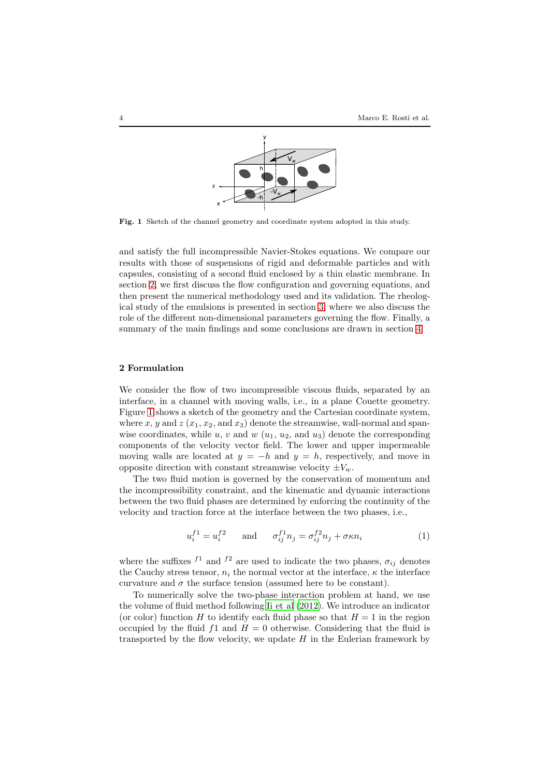

<span id="page-3-1"></span>Fig. 1 Sketch of the channel geometry and coordinate system adopted in this study.

and satisfy the full incompressible Navier-Stokes equations. We compare our results with those of suspensions of rigid and deformable particles and with capsules, consisting of a second fluid enclosed by a thin elastic membrane. In section [2,](#page-3-0) we first discuss the flow configuration and governing equations, and then present the numerical methodology used and its validation. The rheological study of the emulsions is presented in section [3,](#page-10-0) where we also discuss the role of the different non-dimensional parameters governing the flow. Finally, a summary of the main findings and some conclusions are drawn in section [4.](#page-19-0)

# <span id="page-3-0"></span>2 Formulation

We consider the flow of two incompressible viscous fluids, separated by an interface, in a channel with moving walls, i.e., in a plane Couette geometry. Figure [1](#page-3-1) shows a sketch of the geometry and the Cartesian coordinate system, where x, y and  $z(x_1, x_2, \text{ and } x_3)$  denote the streamwise, wall-normal and spanwise coordinates, while u, v and  $w(u_1, u_2, \text{ and } u_3)$  denote the corresponding components of the velocity vector field. The lower and upper impermeable moving walls are located at  $y = -h$  and  $y = h$ , respectively, and move in opposite direction with constant streamwise velocity  $\pm V_w$ .

The two fluid motion is governed by the conservation of momentum and the incompressibility constraint, and the kinematic and dynamic interactions between the two fluid phases are determined by enforcing the continuity of the velocity and traction force at the interface between the two phases, i.e.,

$$
u_i^{f1} = u_i^{f2} \qquad \text{and} \qquad \sigma_{ij}^{f1} n_j = \sigma_{ij}^{f2} n_j + \sigma \kappa n_i \tag{1}
$$

where the suffixes  $f^1$  and  $f^2$  are used to indicate the two phases,  $\sigma_{ij}$  denotes the Cauchy stress tensor,  $n_i$  the normal vector at the interface,  $\kappa$  the interface curvature and  $\sigma$  the surface tension (assumed here to be constant).

To numerically solve the two-phase interaction problem at hand, we use the volume of fluid method following [Ii et al \(2012\)](#page-21-0). We introduce an indicator (or color) function H to identify each fluid phase so that  $H = 1$  in the region occupied by the fluid  $f_1$  and  $H = 0$  otherwise. Considering that the fluid is transported by the flow velocity, we update  $H$  in the Eulerian framework by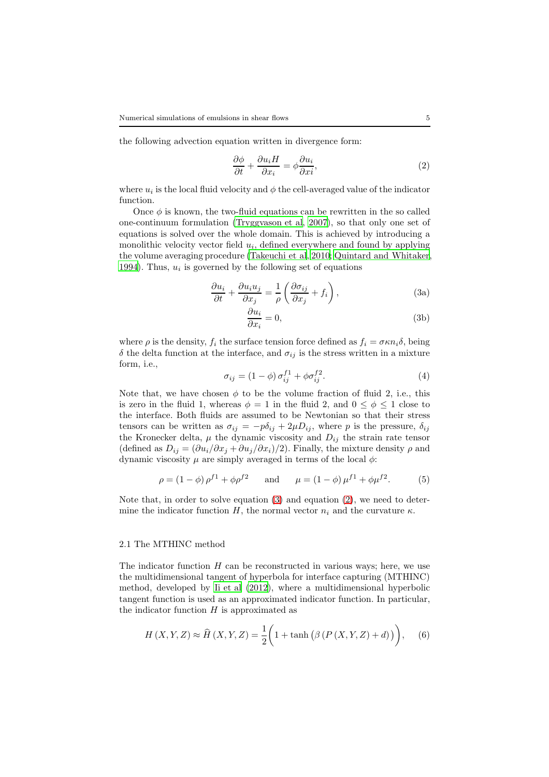the following advection equation written in divergence form:

<span id="page-4-1"></span>
$$
\frac{\partial \phi}{\partial t} + \frac{\partial u_i H}{\partial x_i} = \phi \frac{\partial u_i}{\partial x_i},\tag{2}
$$

where  $u_i$  is the local fluid velocity and  $\phi$  the cell-averaged value of the indicator function.

Once  $\phi$  is known, the two-fluid equations can be rewritten in the so called one-continuum formulation [\(Tryggvason et al, 2007\)](#page-23-15), so that only one set of equations is solved over the whole domain. This is achieved by introducing a monolithic velocity vector field  $u_i$ , defined everywhere and found by applying the volume averaging procedure [\(Takeuchi et al, 2010;](#page-23-16) [Quintard and Whitaker](#page-22-12), [1994](#page-22-12)). Thus,  $u_i$  is governed by the following set of equations

$$
\frac{\partial u_i}{\partial t} + \frac{\partial u_i u_j}{\partial x_j} = \frac{1}{\rho} \left( \frac{\partial \sigma_{ij}}{\partial x_j} + f_i \right),\tag{3a}
$$

<span id="page-4-0"></span>
$$
\frac{\partial u_i}{\partial x_i} = 0,\t\t(3b)
$$

where  $\rho$  is the density,  $f_i$  the surface tension force defined as  $f_i = \sigma \kappa n_i \delta$ , being δ the delta function at the interface, and  $σ_{ij}$  is the stress written in a mixture form, i.e.,

<span id="page-4-2"></span>
$$
\sigma_{ij} = (1 - \phi) \sigma_{ij}^{f1} + \phi \sigma_{ij}^{f2}.
$$
\n(4)

Note that, we have chosen  $\phi$  to be the volume fraction of fluid 2, i.e., this is zero in the fluid 1, whereas  $\phi = 1$  in the fluid 2, and  $0 \leq \phi \leq 1$  close to the interface. Both fluids are assumed to be Newtonian so that their stress tensors can be written as  $\sigma_{ij} = -p\delta_{ij} + 2\mu D_{ij}$ , where p is the pressure,  $\delta_{ij}$ the Kronecker delta,  $\mu$  the dynamic viscosity and  $D_{ij}$  the strain rate tensor (defined as  $D_{ij} = (\partial u_i/\partial x_j + \partial u_j/\partial x_i)/2$ ). Finally, the mixture density  $\rho$  and dynamic viscosity  $\mu$  are simply averaged in terms of the local  $\phi$ :

$$
\rho = (1 - \phi) \rho^{f1} + \phi \rho^{f2} \quad \text{and} \quad \mu = (1 - \phi) \mu^{f1} + \phi \mu^{f2}. \tag{5}
$$

Note that, in order to solve equation [\(3\)](#page-4-0) and equation [\(2\)](#page-4-1), we need to determine the indicator function H, the normal vector  $n_i$  and the curvature  $\kappa$ .

# 2.1 The MTHINC method

The indicator function  $H$  can be reconstructed in various ways; here, we use the multidimensional tangent of hyperbola for interface capturing (MTHINC) method, developed by [Ii et al \(2012](#page-21-0)), where a multidimensional hyperbolic tangent function is used as an approximated indicator function. In particular, the indicator function  $H$  is approximated as

$$
H(X,Y,Z) \approx \widehat{H}(X,Y,Z) = \frac{1}{2} \bigg( 1 + \tanh \big( \beta \left( P \left( X, Y, Z \right) + d \right) \big) \bigg), \quad (6)
$$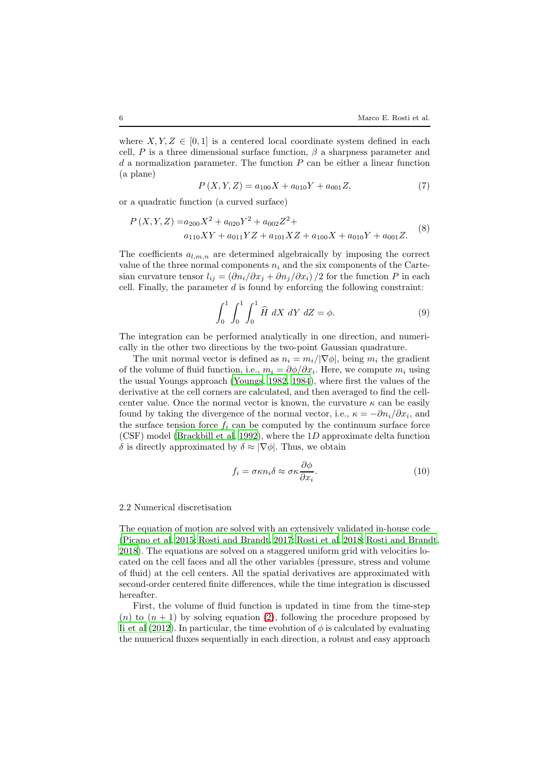where  $X, Y, Z \in [0, 1]$  is a centered local coordinate system defined in each cell, P is a three dimensional surface function,  $\beta$  a sharpness parameter and  $d$  a normalization parameter. The function  $P$  can be either a linear function (a plane)

$$
P(X, Y, Z) = a_{100}X + a_{010}Y + a_{001}Z,
$$
\n<sup>(7)</sup>

or a quadratic function (a curved surface)

$$
P(X, Y, Z) = a_{200}X^2 + a_{020}Y^2 + a_{002}Z^2 + a_{100}X + a_{010}Y + a_{001}Z.
$$
 (8)

The coefficients  $a_{l,m,n}$  are determined algebraically by imposing the correct value of the three normal components  $n_i$  and the six components of the Cartesian curvature tensor  $l_{ij} = \left(\frac{\partial n_i}{\partial x_j} + \frac{\partial n_j}{\partial x_i}\right)/2$  for the function P in each cell. Finally, the parameter  $d$  is found by enforcing the following constraint:

<span id="page-5-0"></span>
$$
\int_0^1 \int_0^1 \int_0^1 \hat{H} \ dX \ dY \ dZ = \phi. \tag{9}
$$

The integration can be performed analytically in one direction, and numerically in the other two directions by the two-point Gaussian quadrature.

The unit normal vector is defined as  $n_i = m_i/|\nabla \phi|$ , being  $m_i$  the gradient of the volume of fluid function, i.e.,  $m_i = \partial \phi / \partial x_i$ . Here, we compute  $m_i$  using the usual Youngs approach [\(Youngs, 1982,](#page-23-11) [1984](#page-23-12)), where first the values of the derivative at the cell corners are calculated, and then averaged to find the cellcenter value. Once the normal vector is known, the curvature  $\kappa$  can be easily found by taking the divergence of the normal vector, i.e.,  $\kappa = -\partial n_i/\partial x_i$ , and the surface tension force  $f_i$  can be computed by the continuum surface force (CSF) model [\(Brackbill et al, 1992\)](#page-20-4), where the 1D approximate delta function δ is directly approximated by  $\delta \approx |\nabla \phi|$ . Thus, we obtain

$$
f_i = \sigma \kappa n_i \delta \approx \sigma \kappa \frac{\partial \phi}{\partial x_i}.
$$
 (10)

#### 2.2 Numerical discretisation

The equation of motion are solved with an extensively validated in-house code [\(Picano et al](#page-22-13), [2015](#page-22-13); [Rosti and Brandt, 2017;](#page-22-14) [Rosti et al](#page-22-1), [2018](#page-22-1); [Rosti and Brandt,](#page-22-2) [2018](#page-22-2)). The equations are solved on a staggered uniform grid with velocities located on the cell faces and all the other variables (pressure, stress and volume of fluid) at the cell centers. All the spatial derivatives are approximated with second-order centered finite differences, while the time integration is discussed hereafter.

First, the volume of fluid function is updated in time from the time-step  $(n)$  to  $(n + 1)$  by solving equation [\(2\)](#page-4-1), following the procedure proposed by [Ii et al \(2012\)](#page-21-0). In particular, the time evolution of  $\phi$  is calculated by evaluating the numerical fluxes sequentially in each direction, a robust and easy approach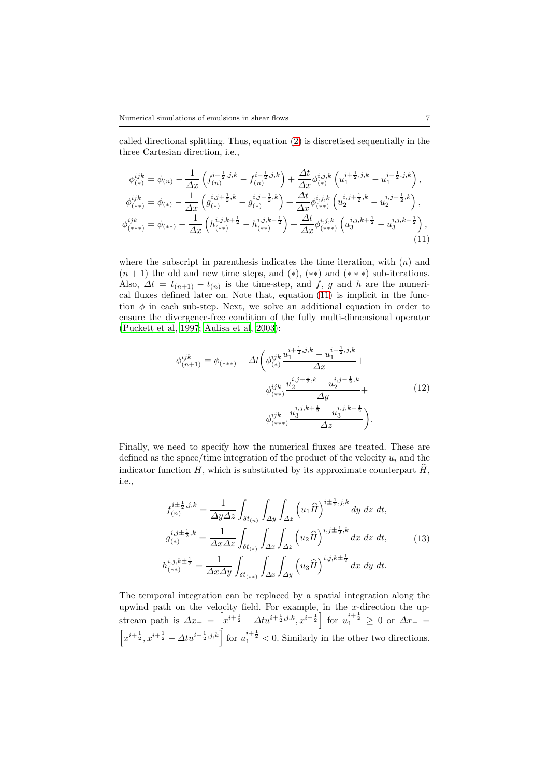called directional splitting. Thus, equation [\(2\)](#page-4-1) is discretised sequentially in the three Cartesian direction, i.e.,

<span id="page-6-0"></span>
$$
\phi_{(*)}^{ijk} = \phi_{(n)} - \frac{1}{\Delta x} \left( f_{(n)}^{i + \frac{1}{2}, j, k} - f_{(n)}^{i - \frac{1}{2}, j, k} \right) + \frac{\Delta t}{\Delta x} \phi_{(*)}^{i, j, k} \left( u_1^{i + \frac{1}{2}, j, k} - u_1^{i - \frac{1}{2}, j, k} \right),
$$
  
\n
$$
\phi_{(**)}^{ijk} = \phi_{(*)} - \frac{1}{\Delta x} \left( g_{(*)}^{i, j + \frac{1}{2}, k} - g_{(*)}^{i, j - \frac{1}{2}, k} \right) + \frac{\Delta t}{\Delta x} \phi_{(**)}^{i, j, k} \left( u_2^{i, j + \frac{1}{2}, k} - u_2^{i, j - \frac{1}{2}, k} \right),
$$
  
\n
$$
\phi_{(**)}^{ijk} = \phi_{(**)} - \frac{1}{\Delta x} \left( h_{(**)}^{i, j, k + \frac{1}{2}} - h_{(**)}^{i, j, k - \frac{1}{2}} \right) + \frac{\Delta t}{\Delta x} \phi_{(**)}^{i, j, k} \left( u_3^{i, j, k + \frac{1}{2}} - u_3^{i, j, k - \frac{1}{2}} \right),
$$
\n(11)

where the subscript in parenthesis indicates the time iteration, with  $(n)$  and  $(n + 1)$  the old and new time steps, and  $(*), (**)$  and  $(***)$  sub-iterations. Also,  $\Delta t = t_{(n+1)} - t_{(n)}$  is the time-step, and f, g and h are the numerical fluxes defined later on. Note that, equation [\(11\)](#page-6-0) is implicit in the function  $\phi$  in each sub-step. Next, we solve an additional equation in order to ensure the divergence-free condition of the fully multi-dimensional operator [\(Puckett et al](#page-22-9), [1997;](#page-22-9) [Aulisa et al, 2003\)](#page-20-3):

$$
\phi_{(n+1)}^{ijk} = \phi_{(***)} - \Delta t \left( \phi_{(*)}^{ijk} \frac{u_1^{i + \frac{1}{2}, j, k} - u_1^{i - \frac{1}{2}, j, k}}{\Delta x} + \phi_{(**)}^{ijk} \frac{u_2^{i, j + \frac{1}{2}, k} - u_2^{i, j - \frac{1}{2}, k}}{\Delta y} + \phi_{(**)}^{ijk} \frac{u_3^{i, j, k + \frac{1}{2}} - u_3^{i, j, k - \frac{1}{2}}}{\Delta z} \right).
$$
\n(12)

Finally, we need to specify how the numerical fluxes are treated. These are defined as the space/time integration of the product of the velocity  $u_i$  and the indicator function  $H$ , which is substituted by its approximate counterpart  $H$ , i.e.,

$$
f_{(n)}^{i\pm\frac{1}{2},j,k} = \frac{1}{\Delta y \Delta z} \int_{\delta t_{(n)}} \int_{\Delta y} \int_{\Delta z} \left( u_1 \hat{H} \right)^{i\pm\frac{1}{2},j,k} dy \, dz \, dt,
$$
  
\n
$$
g_{(*)}^{i,j\pm\frac{1}{2},k} = \frac{1}{\Delta x \Delta z} \int_{\delta t_{(*)}} \int_{\Delta x} \int_{\Delta z} \left( u_2 \hat{H} \right)^{i,j\pm\frac{1}{2},k} dx \, dz \, dt,
$$
\n
$$
h_{(**)}^{i,j,k\pm\frac{1}{2}} = \frac{1}{\Delta x \Delta y} \int_{\delta t_{(**)}} \int_{\Delta x} \int_{\Delta y} \left( u_3 \hat{H} \right)^{i,j,k\pm\frac{1}{2}} dx \, dy \, dt.
$$
\n(13)

The temporal integration can be replaced by a spatial integration along the upwind path on the velocity field. For example, in the x-direction the upstream path is  $\Delta x_+ = \left[ x^{i+\frac{1}{2}} - \Delta t u^{i+\frac{1}{2},j,k}, x^{i+\frac{1}{2}} \right]$  for  $u_1^{i+\frac{1}{2}} \geq 0$  or  $\Delta x_- =$  $\left[x^{i+\frac{1}{2}}, x^{i+\frac{1}{2}} - \Delta t u^{i+\frac{1}{2},j,k}\right]$  for  $u_1^{i+\frac{1}{2}} < 0$ . Similarly in the other two directions.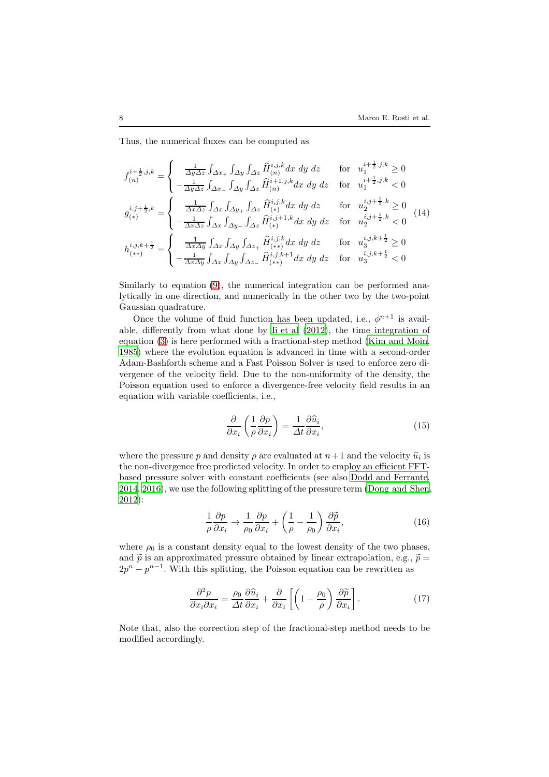Thus, the numerical fluxes can be computed as

$$
f_{(n)}^{i+\frac{1}{2},j,k} = \begin{cases} \frac{1}{\Delta y \Delta z} \int_{\Delta x_+} \int_{\Delta y} \int_{\Delta z} \hat{H}_{(n)}^{i,j,k} dx dy dz & \text{for } u_1^{i+\frac{1}{2},j,k} \ge 0\\ -\frac{1}{\Delta y \Delta z} \int_{\Delta x_-} \int_{\Delta y} \int_{\Delta z} \hat{H}_{(n)}^{i+1,j,k} dx dy dz & \text{for } u_1^{i+\frac{1}{2},j,k} < 0 \end{cases}
$$
  

$$
g_{(*)}^{i,j+\frac{1}{2},k} = \begin{cases} \frac{1}{\Delta x \Delta z} \int_{\Delta x} \int_{\Delta y_+} \int_{\Delta z} \hat{H}_{(*)}^{i,j,k} dx dy dz & \text{for } u_2^{i,j+\frac{1}{2},k} \ge 0\\ -\frac{1}{\Delta x \Delta z} \int_{\Delta x} \int_{\Delta y_-} \int_{\Delta z} \hat{H}_{(*)}^{i,j+1,k} dx dy dz & \text{for } u_2^{i,j+\frac{1}{2},k} < 0 \end{cases}
$$
(14)  

$$
h_{(**)}^{i,j,k+\frac{1}{2}} = \begin{cases} \frac{1}{\Delta x \Delta y} \int_{\Delta x} \int_{\Delta y} \int_{\Delta z_+} \hat{H}_{(**)}^{i,j,k} dx dy dz & \text{for } u_3^{i,j,k+\frac{1}{2}} \ge 0\\ -\frac{1}{\Delta x \Delta y} \int_{\Delta x} \int_{\Delta y} \int_{\Delta z_-} \hat{H}_{(**)}^{i,j,k+1} dx dy dz & \text{for } u_3^{i,j,k+\frac{1}{2}} < 0 \end{cases}
$$

Similarly to equation [\(9\)](#page-5-0), the numerical integration can be performed analytically in one direction, and numerically in the other two by the two-point Gaussian quadrature.

Once the volume of fluid function has been updated, i.e.,  $\phi^{n+1}$  is available, differently from what done by [Ii et al \(2012](#page-21-0)), the time integration of equation [\(3\)](#page-4-0) is here performed with a fractional-step method [\(Kim and Moin](#page-21-8), [1985](#page-21-8)) where the evolution equation is advanced in time with a second-order Adam-Bashforth scheme and a Fast Poisson Solver is used to enforce zero divergence of the velocity field. Due to the non-uniformity of the density, the Poisson equation used to enforce a divergence-free velocity field results in an equation with variable coefficients, i.e.,

$$
\frac{\partial}{\partial x_i} \left( \frac{1}{\rho} \frac{\partial p}{\partial x_i} \right) = \frac{1}{\Delta t} \frac{\partial \widehat{u}_i}{\partial x_i},\tag{15}
$$

where the pressure p and density  $\rho$  are evaluated at  $n+1$  and the velocity  $\hat{u}_i$  is the non-divergence free predicted velocity. In order to employ an efficient FFTbased pressure solver with constant coefficients (see also [Dodd and Ferrante](#page-21-9), [2014](#page-21-9), [2016](#page-21-10)), we use the following splitting of the pressure term [\(Dong and Shen](#page-21-11), [2012](#page-21-11)):

$$
\frac{1}{\rho} \frac{\partial p}{\partial x_i} \to \frac{1}{\rho_0} \frac{\partial p}{\partial x_i} + \left(\frac{1}{\rho} - \frac{1}{\rho_0}\right) \frac{\partial \widetilde{p}}{\partial x_i},\tag{16}
$$

where  $\rho_0$  is a constant density equal to the lowest density of the two phases, and  $\tilde{p}$  is an approximated pressure obtained by linear extrapolation, e.g.,  $\tilde{p} =$  $2p^{n} - p^{n-1}$ . With this splitting, the Poisson equation can be rewritten as

$$
\frac{\partial^2 p}{\partial x_i \partial x_i} = \frac{\rho_0}{\Delta t} \frac{\partial \widehat{u}_i}{\partial x_i} + \frac{\partial}{\partial x_i} \left[ \left( 1 - \frac{\rho_0}{\rho} \right) \frac{\partial \widetilde{p}}{\partial x_i} \right].
$$
 (17)

Note that, also the correction step of the fractional-step method needs to be modified accordingly.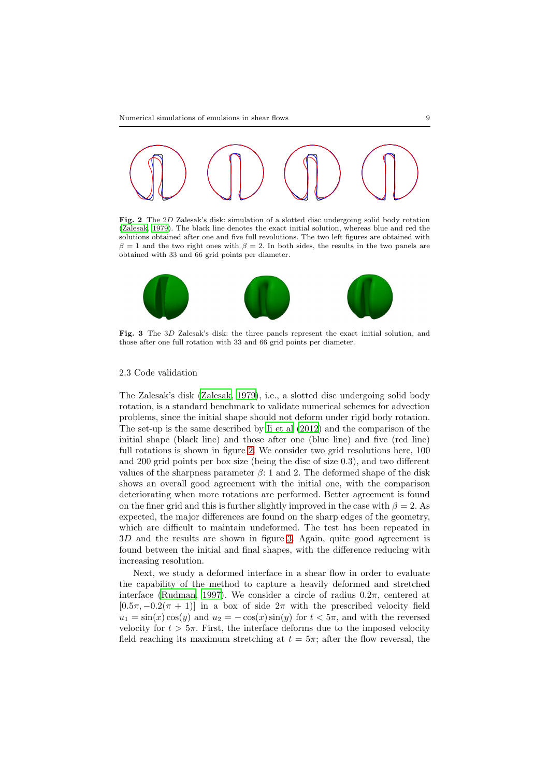

<span id="page-8-0"></span>Fig. 2 The 2D Zalesak's disk: simulation of a slotted disc undergoing solid body rotation [\(Zalesak](#page-24-1), [1979](#page-24-1)). The black line denotes the exact initial solution, whereas blue and red the solutions obtained after one and five full revolutions. The two left figures are obtained with  $\beta = 1$  and the two right ones with  $\beta = 2$ . In both sides, the results in the two panels are obtained with 33 and 66 grid points per diameter.



<span id="page-8-1"></span>Fig. 3 The 3D Zalesak's disk: the three panels represent the exact initial solution, and those after one full rotation with 33 and 66 grid points per diameter.

# 2.3 Code validation

The Zalesak's disk [\(Zalesak, 1979\)](#page-24-1), i.e., a slotted disc undergoing solid body rotation, is a standard benchmark to validate numerical schemes for advection problems, since the initial shape should not deform under rigid body rotation. The set-up is the same described by [Ii et al \(2012\)](#page-21-0) and the comparison of the initial shape (black line) and those after one (blue line) and five (red line) full rotations is shown in figure [2.](#page-8-0) We consider two grid resolutions here, 100 and 200 grid points per box size (being the disc of size 0.3), and two different values of the sharpness parameter  $\beta$ : 1 and 2. The deformed shape of the disk shows an overall good agreement with the initial one, with the comparison deteriorating when more rotations are performed. Better agreement is found on the finer grid and this is further slightly improved in the case with  $\beta = 2$ . As expected, the major differences are found on the sharp edges of the geometry, which are difficult to maintain undeformed. The test has been repeated in 3D and the results are shown in figure [3.](#page-8-1) Again, quite good agreement is found between the initial and final shapes, with the difference reducing with increasing resolution.

Next, we study a deformed interface in a shear flow in order to evaluate the capability of the method to capture a heavily deformed and stretched interface [\(Rudman](#page-22-15), [1997\)](#page-22-15). We consider a circle of radius  $0.2\pi$ , centered at  $[0.5\pi, -0.2(\pi + 1)]$  in a box of side  $2\pi$  with the prescribed velocity field  $u_1 = \sin(x) \cos(y)$  and  $u_2 = -\cos(x) \sin(y)$  for  $t < 5\pi$ , and with the reversed velocity for  $t > 5\pi$ . First, the interface deforms due to the imposed velocity field reaching its maximum stretching at  $t = 5\pi$ ; after the flow reversal, the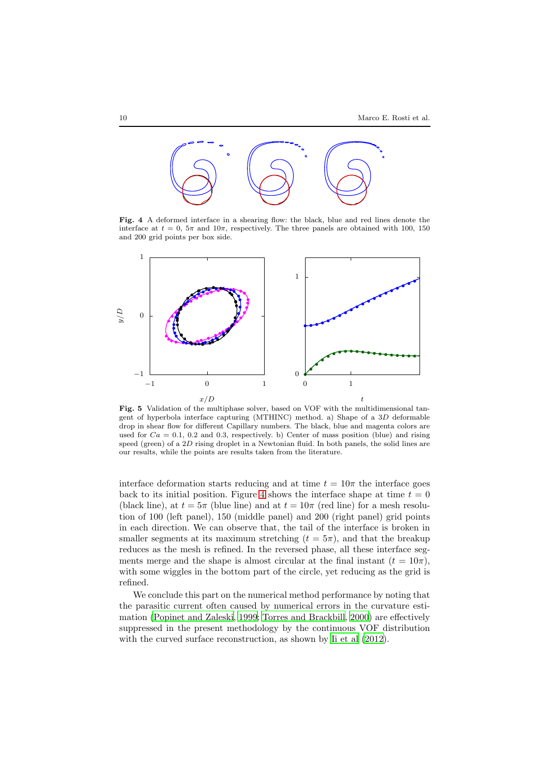

<span id="page-9-0"></span>Fig. 4 A deformed interface in a shearing flow: the black, blue and red lines denote the interface at  $t = 0$ ,  $5\pi$  and  $10\pi$ , respectively. The three panels are obtained with 100, 150 and 200 grid points per box side.



<span id="page-9-1"></span>Fig. 5 Validation of the multiphase solver, based on VOF with the multidimensional tangent of hyperbola interface capturing (MTHINC) method. a) Shape of a 3D deformable drop in shear flow for different Capillary numbers. The black, blue and magenta colors are used for  $Ca = 0.1, 0.2$  and 0.3, respectively. b) Center of mass position (blue) and rising speed (green) of a 2D rising droplet in a Newtonian fluid. In both panels, the solid lines are our results, while the points are results taken from the literature.

interface deformation starts reducing and at time  $t = 10\pi$  the interface goes back to its initial position. Figure [4](#page-9-0) shows the interface shape at time  $t = 0$ (black line), at  $t = 5\pi$  (blue line) and at  $t = 10\pi$  (red line) for a mesh resolution of 100 (left panel), 150 (middle panel) and 200 (right panel) grid points in each direction. We can observe that, the tail of the interface is broken in smaller segments at its maximum stretching  $(t = 5\pi)$ , and that the breakup reduces as the mesh is refined. In the reversed phase, all these interface segments merge and the shape is almost circular at the final instant  $(t = 10\pi)$ , with some wiggles in the bottom part of the circle, yet reducing as the grid is refined.

We conclude this part on the numerical method performance by noting that the parasitic current often caused by numerical errors in the curvature estimation [\(Popinet and Zaleski](#page-22-16), [1999;](#page-22-16) [Torres and Brackbill, 2000\)](#page-23-17) are effectively suppressed in the present methodology by the continuous VOF distribution with the curved surface reconstruction, as shown by [Ii et al \(2012\)](#page-21-0).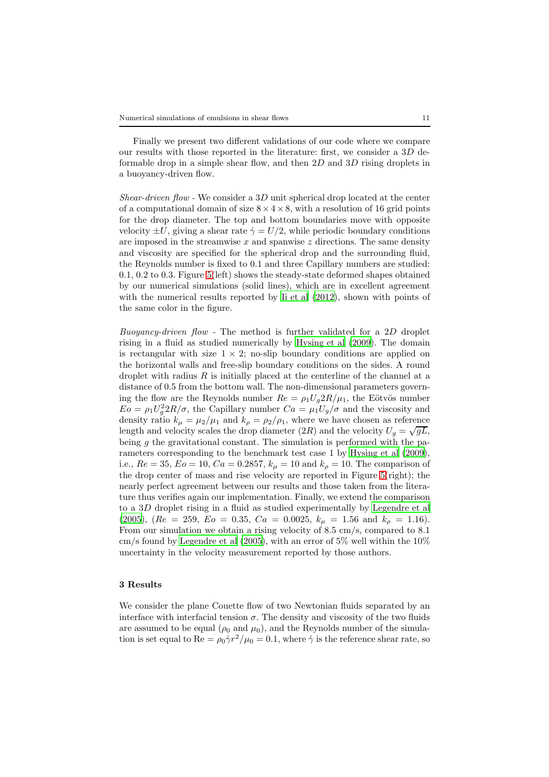Finally we present two different validations of our code where we compare our results with those reported in the literature: first, we consider a  $3D$  deformable drop in a simple shear flow, and then 2D and 3D rising droplets in a buoyancy-driven flow.

Shear-driven flow - We consider a 3D unit spherical drop located at the center of a computational domain of size  $8 \times 4 \times 8$ , with a resolution of 16 grid points for the drop diameter. The top and bottom boundaries move with opposite velocity  $\pm U$ , giving a shear rate  $\dot{\gamma} = U/2$ , while periodic boundary conditions are imposed in the streamwise  $x$  and spanwise  $z$  directions. The same density and viscosity are specified for the spherical drop and the surrounding fluid, the Reynolds number is fixed to 0.1 and three Capillary numbers are studied: 0.1, 0.2 to 0.3. Figure [5\(](#page-9-1)left) shows the steady-state deformed shapes obtained by our numerical simulations (solid lines), which are in excellent agreement with the numerical results reported by Ii et al  $(2012)$ , shown with points of the same color in the figure.

Buoyancy-driven flow - The method is further validated for a 2D droplet rising in a fluid as studied numerically by [Hysing et al \(2009\)](#page-21-12). The domain is rectangular with size  $1 \times 2$ ; no-slip boundary conditions are applied on the horizontal walls and free-slip boundary conditions on the sides. A round droplet with radius  $R$  is initially placed at the centerline of the channel at a distance of 0.5 from the bottom wall. The non-dimensional parameters governing the flow are the Reynolds number  $Re = \rho_1 U_g 2R/\mu_1$ , the Eötvös number  $E_0 = \rho_1 U_g^2 2R/\sigma$ , the Capillary number  $Ca = \mu_1 U_g/\sigma$  and the viscosity and density ratio  $k_{\mu} = \mu_2/\mu_1$  and  $k_{\rho} = \rho_2/\rho_1$ , where we have chosen as reference length and velocity scales the drop diameter  $(2R)$  and the velocity  $U_g = \sqrt{gL}$ , being  $g$  the gravitational constant. The simulation is performed with the parameters corresponding to the benchmark test case 1 by [Hysing et al \(2009\)](#page-21-12), i.e.,  $Re = 35, Eo = 10, Ca = 0.2857, k<sub>\mu</sub> = 10$  and  $k<sub>\rho</sub> = 10$ . The comparison of the drop center of mass and rise velocity are reported in Figure [5\(](#page-9-1)right); the nearly perfect agreement between our results and those taken from the literature thus verifies again our implementation. Finally, we extend the comparison to a 3D droplet rising in a fluid as studied experimentally by [Legendre et al](#page-21-13) [\(2005](#page-21-13)),  $(Re = 259, Eo = 0.35, Ca = 0.0025, k<sub>\mu</sub> = 1.56 \text{ and } k<sub>\rho</sub> = 1.16).$ From our simulation we obtain a rising velocity of 8.5 cm/s, compared to 8.1 cm/s found by Legendre et al  $(2005)$ , with an error of 5% well within the  $10\%$ uncertainty in the velocity measurement reported by those authors.

# <span id="page-10-0"></span>3 Results

We consider the plane Couette flow of two Newtonian fluids separated by an interface with interfacial tension  $\sigma$ . The density and viscosity of the two fluids are assumed to be equal ( $\rho_0$  and  $\mu_0$ ), and the Reynolds number of the simulation is set equal to Re =  $\rho_0 \dot{\gamma} r^2 / \mu_0 = 0.1$ , where  $\dot{\gamma}$  is the reference shear rate, so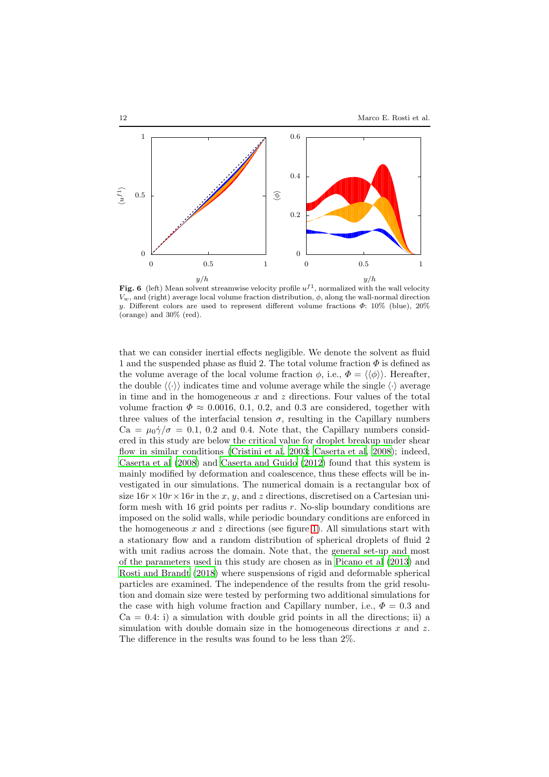

<span id="page-11-0"></span>Fig. 6 (left) Mean solvent streamwise velocity profile  $u^{f_1}$ , normalized with the wall velocity  $V_w$ , and (right) average local volume fraction distribution,  $\phi$ , along the wall-normal direction y. Different colors are used to represent different volume fractions  $\Phi$ : 10% (blue), 20% (orange) and 30% (red).

that we can consider inertial effects negligible. We denote the solvent as fluid 1 and the suspended phase as fluid 2. The total volume fraction  $\Phi$  is defined as the volume average of the local volume fraction  $\phi$ , i.e.,  $\Phi = \langle \langle \phi \rangle \rangle$ . Hereafter, the double  $\langle \langle \cdot \rangle \rangle$  indicates time and volume average while the single  $\langle \cdot \rangle$  average in time and in the homogeneous  $x$  and  $z$  directions. Four values of the total volume fraction  $\Phi \approx 0.0016, 0.1, 0.2,$  and 0.3 are considered, together with three values of the interfacial tension  $\sigma$ , resulting in the Capillary numbers  $Ca = \mu_0 \dot{\gamma}/\sigma = 0.1$ , 0.2 and 0.4. Note that, the Capillary numbers considered in this study are below the critical value for droplet breakup under shear flow in similar conditions [\(Cristini et al](#page-21-14), [2003;](#page-21-14) [Caserta et al, 2008\)](#page-21-15); indeed, [Caserta et al \(2008\)](#page-21-15) and [Caserta and Guido \(2012\)](#page-20-5) found that this system is mainly modified by deformation and coalescence, thus these effects will be investigated in our simulations. The numerical domain is a rectangular box of size  $16r \times 10r \times 16r$  in the x, y, and z directions, discretised on a Cartesian uniform mesh with 16 grid points per radius r. No-slip boundary conditions are imposed on the solid walls, while periodic boundary conditions are enforced in the homogeneous  $x$  and  $z$  directions (see figure [1\)](#page-3-1). All simulations start with a stationary flow and a random distribution of spherical droplets of fluid 2 with unit radius across the domain. Note that, the general set-up and most of the parameters used in this study are chosen as in [Picano et al \(2013\)](#page-22-3) and [Rosti and Brandt \(2018\)](#page-22-2) where suspensions of rigid and deformable spherical particles are examined. The independence of the results from the grid resolution and domain size were tested by performing two additional simulations for the case with high volume fraction and Capillary number, i.e.,  $\Phi = 0.3$  and  $Ca = 0.4$ : i) a simulation with double grid points in all the directions; ii) a simulation with double domain size in the homogeneous directions  $x$  and  $z$ . The difference in the results was found to be less than 2%.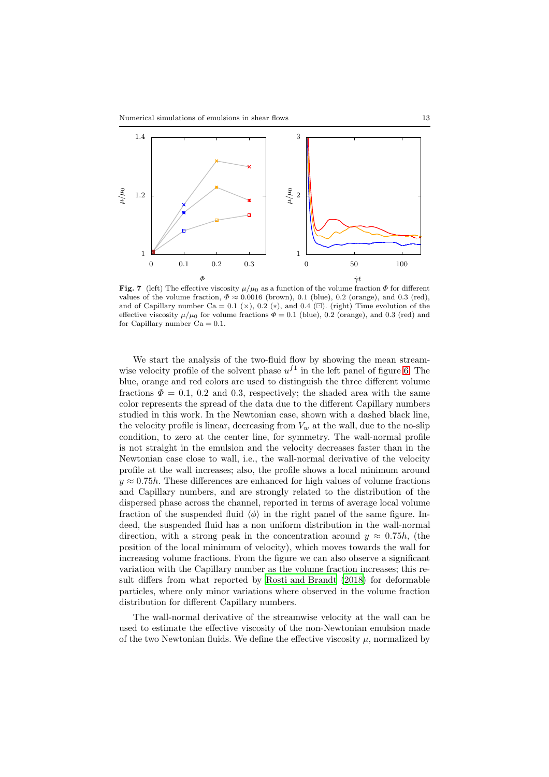

<span id="page-12-0"></span>Fig. 7 (left) The effective viscosity  $\mu/\mu_0$  as a function of the volume fraction  $\Phi$  for different values of the volume fraction,  $\Phi \approx 0.0016$  (brown), 0.1 (blue), 0.2 (orange), and 0.3 (red), and of Capillary number Ca = 0.1 ( $\times$ ), 0.2 (\*), and 0.4 (□). (right) Time evolution of the effective viscosity  $\mu/\mu_0$  for volume fractions  $\Phi = 0.1$  (blue), 0.2 (orange), and 0.3 (red) and for Capillary number  $Ca = 0.1$ .

We start the analysis of the two-fluid flow by showing the mean streamwise velocity profile of the solvent phase  $u^{f_1}$  in the left panel of figure [6.](#page-11-0) The blue, orange and red colors are used to distinguish the three different volume fractions  $\Phi = 0.1, 0.2$  and 0.3, respectively; the shaded area with the same color represents the spread of the data due to the different Capillary numbers studied in this work. In the Newtonian case, shown with a dashed black line, the velocity profile is linear, decreasing from  $V_w$  at the wall, due to the no-slip condition, to zero at the center line, for symmetry. The wall-normal profile is not straight in the emulsion and the velocity decreases faster than in the Newtonian case close to wall, i.e., the wall-normal derivative of the velocity profile at the wall increases; also, the profile shows a local minimum around  $y \approx 0.75h$ . These differences are enhanced for high values of volume fractions and Capillary numbers, and are strongly related to the distribution of the dispersed phase across the channel, reported in terms of average local volume fraction of the suspended fluid  $\langle \phi \rangle$  in the right panel of the same figure. Indeed, the suspended fluid has a non uniform distribution in the wall-normal direction, with a strong peak in the concentration around  $y \approx 0.75h$ , (the position of the local minimum of velocity), which moves towards the wall for increasing volume fractions. From the figure we can also observe a significant variation with the Capillary number as the volume fraction increases; this result differs from what reported by [Rosti and Brandt \(2018](#page-22-2)) for deformable particles, where only minor variations where observed in the volume fraction distribution for different Capillary numbers.

The wall-normal derivative of the streamwise velocity at the wall can be used to estimate the effective viscosity of the non-Newtonian emulsion made of the two Newtonian fluids. We define the effective viscosity  $\mu$ , normalized by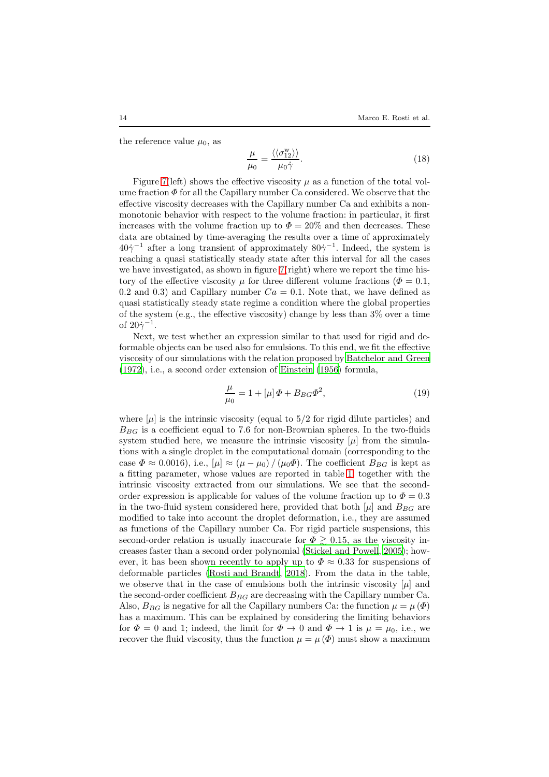the reference value  $\mu_0$ , as

$$
\frac{\mu}{\mu_0} = \frac{\langle \langle \sigma_{12}^{\mathbf{w}} \rangle \rangle}{\mu_0 \dot{\gamma}}.
$$
\n(18)

Figure [7\(](#page-12-0)left) shows the effective viscosity  $\mu$  as a function of the total volume fraction  $\Phi$  for all the Capillary number Ca considered. We observe that the effective viscosity decreases with the Capillary number Ca and exhibits a nonmonotonic behavior with respect to the volume fraction: in particular, it first increases with the volume fraction up to  $\Phi = 20\%$  and then decreases. These data are obtained by time-averaging the results over a time of approximately  $40\dot{\gamma}^{-1}$  after a long transient of approximately  $80\dot{\gamma}^{-1}$ . Indeed, the system is reaching a quasi statistically steady state after this interval for all the cases we have investigated, as shown in figure [7\(](#page-12-0)right) where we report the time history of the effective viscosity  $\mu$  for three different volume fractions ( $\Phi = 0.1$ , 0.2 and 0.3) and Capillary number  $Ca = 0.1$ . Note that, we have defined as quasi statistically steady state regime a condition where the global properties of the system (e.g., the effective viscosity) change by less than  $3\%$  over a time of  $20\dot{\gamma}^{-1}$ .

Next, we test whether an expression similar to that used for rigid and deformable objects can be used also for emulsions. To this end, we fit the effective viscosity of our simulations with the relation proposed by [Batchelor and Green](#page-20-1) [\(1972](#page-20-1)), i.e., a second order extension of [Einstein \(1956\)](#page-21-2) formula,

<span id="page-13-0"></span>
$$
\frac{\mu}{\mu_0} = 1 + [\mu] \Phi + B_{BG} \Phi^2,\tag{19}
$$

where  $[\mu]$  is the intrinsic viscosity (equal to 5/2 for rigid dilute particles) and  $B_{BG}$  is a coefficient equal to 7.6 for non-Brownian spheres. In the two-fluids system studied here, we measure the intrinsic viscosity  $[\mu]$  from the simulations with a single droplet in the computational domain (corresponding to the case  $\Phi \approx 0.0016$ , i.e.,  $[\mu] \approx (\mu - \mu_0) / (\mu_0 \Phi)$ . The coefficient  $B_{BG}$  is kept as a fitting parameter, whose values are reported in table [1,](#page-14-0) together with the intrinsic viscosity extracted from our simulations. We see that the secondorder expression is applicable for values of the volume fraction up to  $\Phi = 0.3$ in the two-fluid system considered here, provided that both  $|\mu|$  and  $B_{BG}$  are modified to take into account the droplet deformation, i.e., they are assumed as functions of the Capillary number Ca. For rigid particle suspensions, this second-order relation is usually inaccurate for  $\Phi \geq 0.15$ , as the viscosity increases faster than a second order polynomial [\(Stickel and Powell, 2005\)](#page-23-18); however, it has been shown recently to apply up to  $\Phi \approx 0.33$  for suspensions of deformable particles [\(Rosti and Brandt, 2018](#page-22-2)). From the data in the table, we observe that in the case of emulsions both the intrinsic viscosity  $[\mu]$  and the second-order coefficient  $B_{BG}$  are decreasing with the Capillary number Ca. Also,  $B_{BG}$  is negative for all the Capillary numbers Ca: the function  $\mu = \mu(\Phi)$ has a maximum. This can be explained by considering the limiting behaviors for  $\Phi = 0$  and 1; indeed, the limit for  $\Phi \to 0$  and  $\Phi \to 1$  is  $\mu = \mu_0$ , i.e., we recover the fluid viscosity, thus the function  $\mu = \mu(\Phi)$  must show a maximum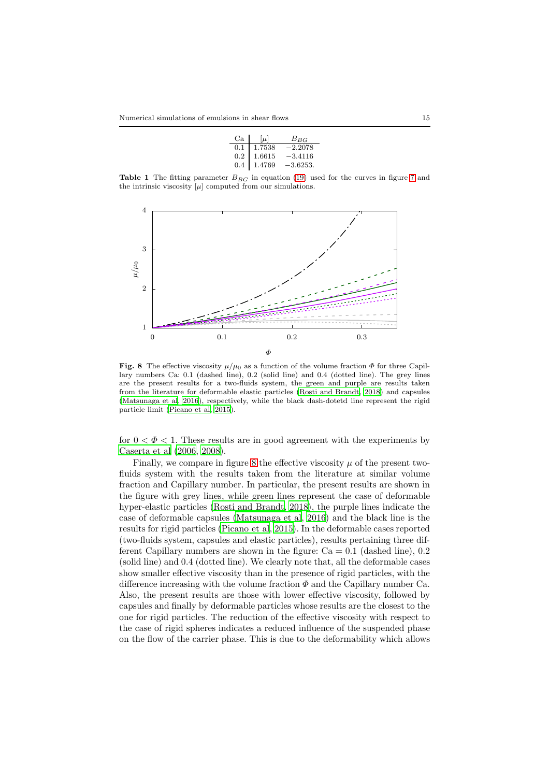| Ca I | $ \mu $ | $B_{BG}$   |
|------|---------|------------|
| 0.1  | 1.7538  | $-2.2078$  |
| 0.2  | 1.6615  | $-3.4116$  |
| 0.4  | 1.4769  | $-3.6253.$ |

<span id="page-14-0"></span>**Table 1** The fitting parameter  $B_{BG}$  in equation [\(19\)](#page-13-0) used for the curves in figure [7](#page-12-0) and the intrinsic viscosity  $[\mu]$  computed from our simulations.



<span id="page-14-1"></span>Fig. 8 The effective viscosity  $\mu/\mu_0$  as a function of the volume fraction  $\Phi$  for three Capillary numbers Ca: 0.1 (dashed line), 0.2 (solid line) and 0.4 (dotted line). The grey lines are the present results for a two-fluids system, the green and purple are results taken from the literature for deformable elastic particles [\(Rosti and Brandt](#page-22-2), [2018](#page-22-2)) and capsules [\(Matsunaga et al, 2016](#page-22-17)), respectively, while the black dash-dotetd line represent the rigid particle limit [\(Picano et al, 2015\)](#page-22-13).

for  $0 < \Phi < 1$ . These results are in good agreement with the experiments by [Caserta et al \(2006,](#page-20-6) [2008\)](#page-21-15).

Finally, we compare in figure [8](#page-14-1) the effective viscosity  $\mu$  of the present twofluids system with the results taken from the literature at similar volume fraction and Capillary number. In particular, the present results are shown in the figure with grey lines, while green lines represent the case of deformable hyper-elastic particles [\(Rosti and Brandt, 2018\)](#page-22-2), the purple lines indicate the case of deformable capsules [\(Matsunaga et al, 2016\)](#page-22-17) and the black line is the results for rigid particles [\(Picano et al](#page-22-13), [2015\)](#page-22-13). In the deformable cases reported (two-fluids system, capsules and elastic particles), results pertaining three different Capillary numbers are shown in the figure:  $Ca = 0.1$  (dashed line), 0.2 (solid line) and 0.4 (dotted line). We clearly note that, all the deformable cases show smaller effective viscosity than in the presence of rigid particles, with the difference increasing with the volume fraction  $\Phi$  and the Capillary number Ca. Also, the present results are those with lower effective viscosity, followed by capsules and finally by deformable particles whose results are the closest to the one for rigid particles. The reduction of the effective viscosity with respect to the case of rigid spheres indicates a reduced influence of the suspended phase on the flow of the carrier phase. This is due to the deformability which allows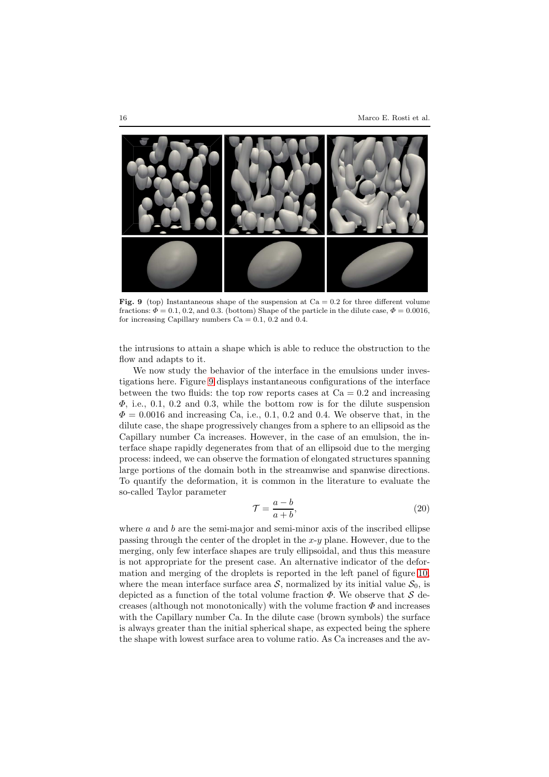

<span id="page-15-0"></span>Fig. 9 (top) Instantaneous shape of the suspension at  $Ca = 0.2$  for three different volume fractions:  $\Phi = 0.1, 0.2,$  and 0.3. (bottom) Shape of the particle in the dilute case,  $\Phi = 0.0016$ , for increasing Capillary numbers  $Ca = 0.1, 0.2$  and 0.4.

the intrusions to attain a shape which is able to reduce the obstruction to the flow and adapts to it.

We now study the behavior of the interface in the emulsions under investigations here. Figure [9](#page-15-0) displays instantaneous configurations of the interface between the two fluids: the top row reports cases at  $Ca = 0.2$  and increasing  $\Phi$ , i.e., 0.1, 0.2 and 0.3, while the bottom row is for the dilute suspension  $\Phi = 0.0016$  and increasing Ca, i.e., 0.1, 0.2 and 0.4. We observe that, in the dilute case, the shape progressively changes from a sphere to an ellipsoid as the Capillary number Ca increases. However, in the case of an emulsion, the interface shape rapidly degenerates from that of an ellipsoid due to the merging process: indeed, we can observe the formation of elongated structures spanning large portions of the domain both in the streamwise and spanwise directions. To quantify the deformation, it is common in the literature to evaluate the so-called Taylor parameter

$$
\mathcal{T} = \frac{a - b}{a + b},\tag{20}
$$

where  $a$  and  $b$  are the semi-major and semi-minor axis of the inscribed ellipse passing through the center of the droplet in the  $x-y$  plane. However, due to the merging, only few interface shapes are truly ellipsoidal, and thus this measure is not appropriate for the present case. An alternative indicator of the deformation and merging of the droplets is reported in the left panel of figure [10,](#page-16-0) where the mean interface surface area  $S$ , normalized by its initial value  $S_0$ , is depicted as a function of the total volume fraction  $\Phi$ . We observe that S decreases (although not monotonically) with the volume fraction  $\Phi$  and increases with the Capillary number Ca. In the dilute case (brown symbols) the surface is always greater than the initial spherical shape, as expected being the sphere the shape with lowest surface area to volume ratio. As Ca increases and the av-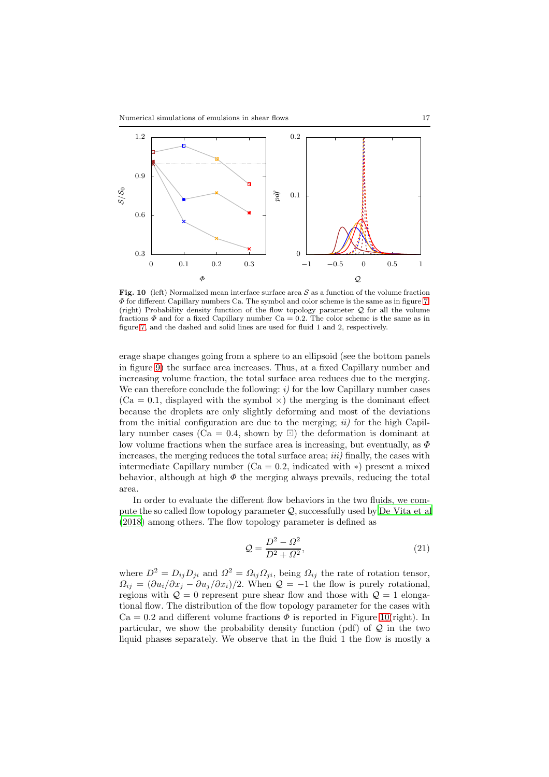

<span id="page-16-0"></span>**Fig. 10** (left) Normalized mean interface surface area  $S$  as a function of the volume fraction  $\Phi$  for different Capillary numbers Ca. The symbol and color scheme is the same as in figure [7.](#page-12-0) (right) Probability density function of the flow topology parameter  $Q$  for all the volume fractions  $\Phi$  and for a fixed Capillary number Ca = 0.2. The color scheme is the same as in figure [7,](#page-12-0) and the dashed and solid lines are used for fluid 1 and 2, respectively.

erage shape changes going from a sphere to an ellipsoid (see the bottom panels in figure [9\)](#page-15-0) the surface area increases. Thus, at a fixed Capillary number and increasing volume fraction, the total surface area reduces due to the merging. We can therefore conclude the following:  $i$ ) for the low Capillary number cases  $(Ca = 0.1,$  displayed with the symbol  $\times$ ) the merging is the dominant effect because the droplets are only slightly deforming and most of the deviations from the initial configuration are due to the merging;  $ii)$  for the high Capillary number cases (Ca = 0.4, shown by  $\Box$ ) the deformation is dominant at low volume fractions when the surface area is increasing, but eventually, as  $\Phi$ increases, the merging reduces the total surface area;  $iii)$  finally, the cases with intermediate Capillary number (Ca = 0.2, indicated with  $\ast$ ) present a mixed behavior, although at high  $\Phi$  the merging always prevails, reducing the total area.

In order to evaluate the different flow behaviors in the two fluids, we compute the so called flow topology parameter Q, successfully used by [De Vita et al](#page-21-16) [\(2018](#page-21-16)) among others. The flow topology parameter is defined as

$$
\mathcal{Q} = \frac{D^2 - \Omega^2}{D^2 + \Omega^2},\tag{21}
$$

where  $D^2 = D_{ij}D_{ji}$  and  $\Omega^2 = \Omega_{ij}\Omega_{ji}$ , being  $\Omega_{ij}$  the rate of rotation tensor,  $\Omega_{ij} = (\partial u_i/\partial x_j - \partial u_j/\partial x_i)/2$ . When  $\mathcal{Q} = -1$  the flow is purely rotational, regions with  $\mathcal{Q} = 0$  represent pure shear flow and those with  $\mathcal{Q} = 1$  elongational flow. The distribution of the flow topology parameter for the cases with  $Ca = 0.2$  and different volume fractions  $\Phi$  is reported in Figure [10\(](#page-16-0)right). In particular, we show the probability density function (pdf) of  $\mathcal Q$  in the two liquid phases separately. We observe that in the fluid 1 the flow is mostly a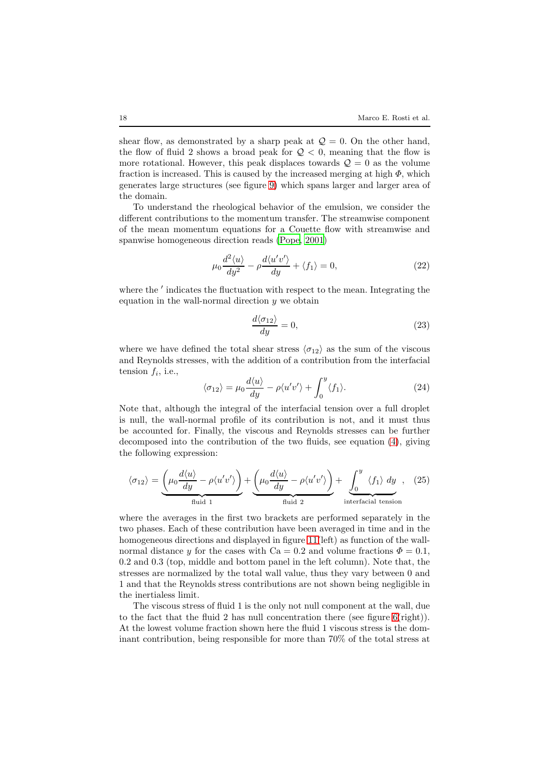shear flow, as demonstrated by a sharp peak at  $\mathcal{Q} = 0$ . On the other hand, the flow of fluid 2 shows a broad peak for  $Q < 0$ , meaning that the flow is more rotational. However, this peak displaces towards  $\mathcal{Q} = 0$  as the volume fraction is increased. This is caused by the increased merging at high  $\Phi$ , which generates large structures (see figure [9\)](#page-15-0) which spans larger and larger area of the domain.

To understand the rheological behavior of the emulsion, we consider the different contributions to the momentum transfer. The streamwise component of the mean momentum equations for a Couette flow with streamwise and spanwise homogeneous direction reads [\(Pope, 2001\)](#page-22-18)

$$
\mu_0 \frac{d^2 \langle u \rangle}{dy^2} - \rho \frac{d \langle u' v' \rangle}{dy} + \langle f_1 \rangle = 0,
$$
\n(22)

where the  $'$  indicates the fluctuation with respect to the mean. Integrating the equation in the wall-normal direction  $y$  we obtain

<span id="page-17-0"></span>
$$
\frac{d\langle \sigma_{12}\rangle}{dy} = 0,\t(23)
$$

where we have defined the total shear stress  $\langle \sigma_{12} \rangle$  as the sum of the viscous and Reynolds stresses, with the addition of a contribution from the interfacial tension  $f_i$ , i.e.,

$$
\langle \sigma_{12} \rangle = \mu_0 \frac{d\langle u \rangle}{dy} - \rho \langle u'v' \rangle + \int_0^y \langle f_1 \rangle.
$$
 (24)

Note that, although the integral of the interfacial tension over a full droplet is null, the wall-normal profile of its contribution is not, and it must thus be accounted for. Finally, the viscous and Reynolds stresses can be further decomposed into the contribution of the two fluids, see equation [\(4\)](#page-4-2), giving the following expression:

$$
\langle \sigma_{12} \rangle = \underbrace{\left(\mu_0 \frac{d\langle u \rangle}{dy} - \rho \langle u'v' \rangle\right)}_{\text{fluid 1}} + \underbrace{\left(\mu_0 \frac{d\langle u \rangle}{dy} - \rho \langle u'v' \rangle\right)}_{\text{fluid 2}} + \underbrace{\int_0^y \langle f_1 \rangle dy}_{\text{interfacial tension}}, \quad (25)
$$

where the averages in the first two brackets are performed separately in the two phases. Each of these contribution have been averaged in time and in the homogeneous directions and displayed in figure [11\(](#page-18-0)left) as function of the wallnormal distance y for the cases with Ca = 0.2 and volume fractions  $\Phi = 0.1$ , 0.2 and 0.3 (top, middle and bottom panel in the left column). Note that, the stresses are normalized by the total wall value, thus they vary between 0 and 1 and that the Reynolds stress contributions are not shown being negligible in the inertialess limit.

The viscous stress of fluid 1 is the only not null component at the wall, due to the fact that the fluid 2 has null concentration there (see figure [6\(](#page-11-0)right)). At the lowest volume fraction shown here the fluid 1 viscous stress is the dominant contribution, being responsible for more than 70% of the total stress at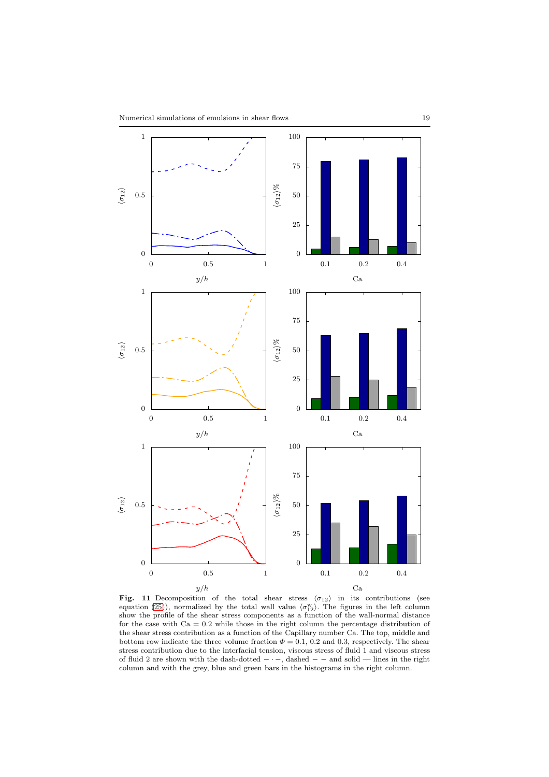

<span id="page-18-0"></span>Fig. 11 Decomposition of the total shear stress  $\langle \sigma_{12} \rangle$  in its contributions (see equation [\(25\)](#page-17-0)), normalized by the total wall value  $\langle \sigma_{12}^{\rm w} \rangle$ . The figures in the left column show the profile of the shear stress components as a function of the wall-normal distance for the case with  $Ca = 0.2$  while those in the right column the percentage distribution of the shear stress contribution as a function of the Capillary number Ca. The top, middle and bottom row indicate the three volume fraction  $\Phi = 0.1, 0.2$  and 0.3, respectively. The shear stress contribution due to the interfacial tension, viscous stress of fluid 1 and viscous stress of fluid 2 are shown with the dash-dotted − · −, dashed − − and solid — lines in the right column and with the grey, blue and green bars in the histograms in the right column.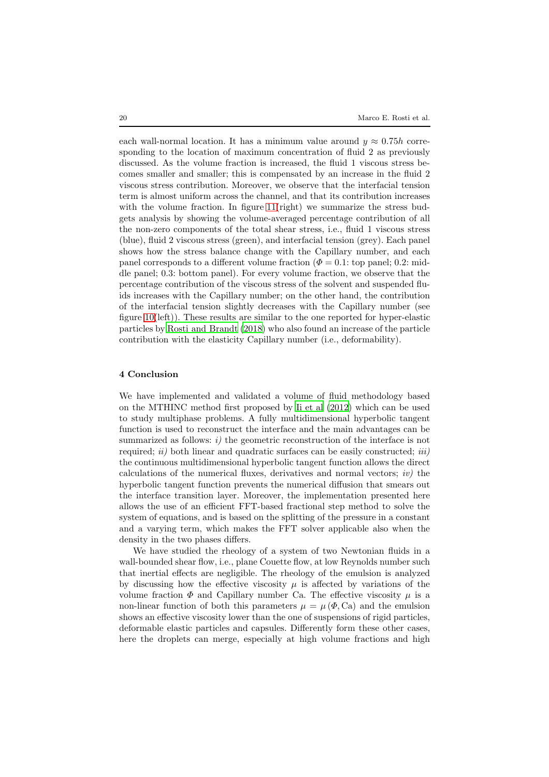each wall-normal location. It has a minimum value around  $y \approx 0.75h$  corresponding to the location of maximum concentration of fluid 2 as previously discussed. As the volume fraction is increased, the fluid 1 viscous stress becomes smaller and smaller; this is compensated by an increase in the fluid 2 viscous stress contribution. Moreover, we observe that the interfacial tension term is almost uniform across the channel, and that its contribution increases with the volume fraction. In figure [11\(](#page-18-0)right) we summarize the stress budgets analysis by showing the volume-averaged percentage contribution of all the non-zero components of the total shear stress, i.e., fluid 1 viscous stress (blue), fluid 2 viscous stress (green), and interfacial tension (grey). Each panel shows how the stress balance change with the Capillary number, and each panel corresponds to a different volume fraction ( $\Phi = 0.1$ : top panel; 0.2: middle panel; 0.3: bottom panel). For every volume fraction, we observe that the percentage contribution of the viscous stress of the solvent and suspended fluids increases with the Capillary number; on the other hand, the contribution of the interfacial tension slightly decreases with the Capillary number (see figure [10\(](#page-16-0)left)). These results are similar to the one reported for hyper-elastic particles by [Rosti and Brandt \(2018](#page-22-2)) who also found an increase of the particle contribution with the elasticity Capillary number (i.e., deformability).

# <span id="page-19-0"></span>4 Conclusion

We have implemented and validated a volume of fluid methodology based on the MTHINC method first proposed by [Ii et al \(2012\)](#page-21-0) which can be used to study multiphase problems. A fully multidimensional hyperbolic tangent function is used to reconstruct the interface and the main advantages can be summarized as follows:  $i)$  the geometric reconstruction of the interface is not required;  $ii)$  both linear and quadratic surfaces can be easily constructed;  $iii)$ the continuous multidimensional hyperbolic tangent function allows the direct calculations of the numerical fluxes, derivatives and normal vectors;  $iv)$  the hyperbolic tangent function prevents the numerical diffusion that smears out the interface transition layer. Moreover, the implementation presented here allows the use of an efficient FFT-based fractional step method to solve the system of equations, and is based on the splitting of the pressure in a constant and a varying term, which makes the FFT solver applicable also when the density in the two phases differs.

We have studied the rheology of a system of two Newtonian fluids in a wall-bounded shear flow, i.e., plane Couette flow, at low Reynolds number such that inertial effects are negligible. The rheology of the emulsion is analyzed by discussing how the effective viscosity  $\mu$  is affected by variations of the volume fraction  $\Phi$  and Capillary number Ca. The effective viscosity  $\mu$  is a non-linear function of both this parameters  $\mu = \mu (\Phi, \text{Ca})$  and the emulsion shows an effective viscosity lower than the one of suspensions of rigid particles, deformable elastic particles and capsules. Differently form these other cases, here the droplets can merge, especially at high volume fractions and high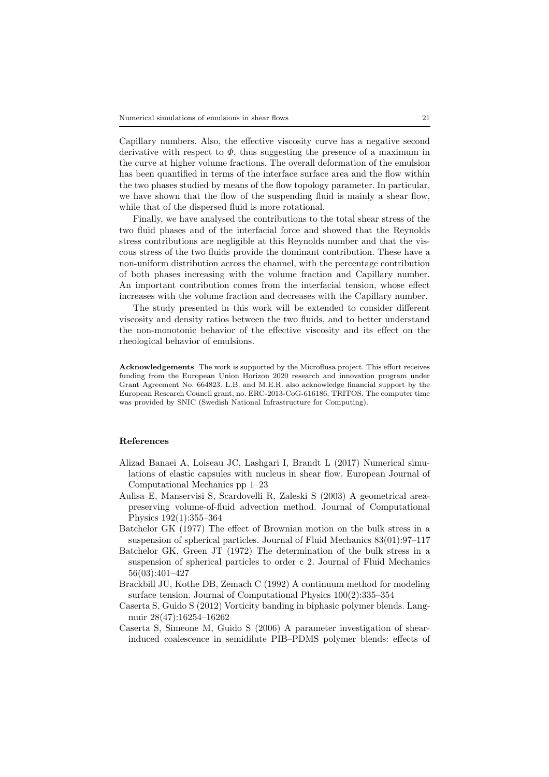Capillary numbers. Also, the effective viscosity curve has a negative second derivative with respect to  $\Phi$ , thus suggesting the presence of a maximum in the curve at higher volume fractions. The overall deformation of the emulsion has been quantified in terms of the interface surface area and the flow within the two phases studied by means of the flow topology parameter. In particular, we have shown that the flow of the suspending fluid is mainly a shear flow, while that of the dispersed fluid is more rotational.

Finally, we have analysed the contributions to the total shear stress of the two fluid phases and of the interfacial force and showed that the Reynolds stress contributions are negligible at this Reynolds number and that the viscous stress of the two fluids provide the dominant contribution. These have a non-uniform distribution across the channel, with the percentage contribution of both phases increasing with the volume fraction and Capillary number. An important contribution comes from the interfacial tension, whose effect increases with the volume fraction and decreases with the Capillary number.

The study presented in this work will be extended to consider different viscosity and density ratios between the two fluids, and to better understand the non-monotonic behavior of the effective viscosity and its effect on the rheological behavior of emulsions.

Acknowledgements The work is supported by the Microflusa project. This effort receives funding from the European Union Horizon 2020 research and innovation program under Grant Agreement No. 664823. L.B. and M.E.R. also acknowledge financial support by the European Research Council grant, no. ERC-2013-CoG-616186, TRITOS. The computer time was provided by SNIC (Swedish National Infrastructure for Computing).

# References

- <span id="page-20-0"></span>Alizad Banaei A, Loiseau JC, Lashgari I, Brandt L (2017) Numerical simulations of elastic capsules with nucleus in shear flow. European Journal of Computational Mechanics pp 1–23
- <span id="page-20-3"></span>Aulisa E, Manservisi S, Scardovelli R, Zaleski S (2003) A geometrical areapreserving volume-of-fluid advection method. Journal of Computational Physics 192(1):355–364
- <span id="page-20-2"></span>Batchelor GK (1977) The effect of Brownian motion on the bulk stress in a suspension of spherical particles. Journal of Fluid Mechanics 83(01):97–117
- <span id="page-20-1"></span>Batchelor GK, Green JT (1972) The determination of the bulk stress in a suspension of spherical particles to order c 2. Journal of Fluid Mechanics 56(03):401–427
- <span id="page-20-4"></span>Brackbill JU, Kothe DB, Zemach C (1992) A continuum method for modeling surface tension. Journal of Computational Physics 100(2):335–354
- <span id="page-20-5"></span>Caserta S, Guido S (2012) Vorticity banding in biphasic polymer blends. Langmuir 28(47):16254–16262
- <span id="page-20-6"></span>Caserta S, Simeone M, Guido S (2006) A parameter investigation of shearinduced coalescence in semidilute PIB–PDMS polymer blends: effects of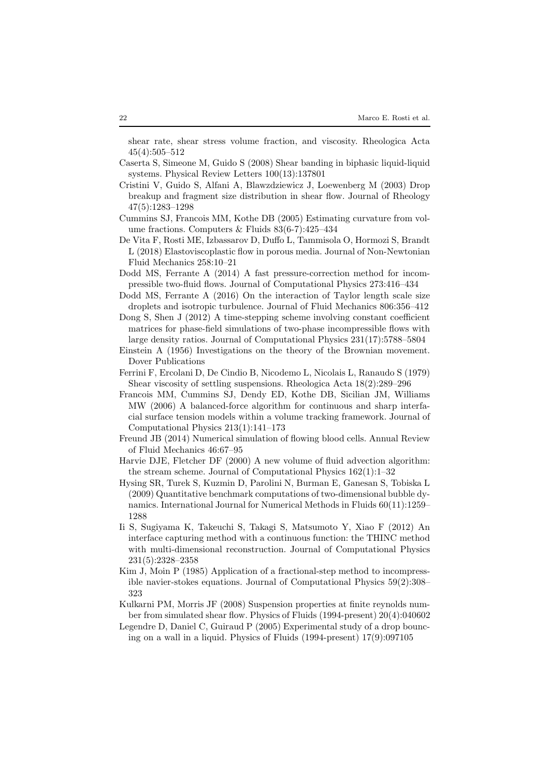shear rate, shear stress volume fraction, and viscosity. Rheologica Acta 45(4):505–512

- <span id="page-21-15"></span>Caserta S, Simeone M, Guido S (2008) Shear banding in biphasic liquid-liquid systems. Physical Review Letters 100(13):137801
- <span id="page-21-14"></span>Cristini V, Guido S, Alfani A, Blawzdziewicz J, Loewenberg M (2003) Drop breakup and fragment size distribution in shear flow. Journal of Rheology 47(5):1283–1298
- <span id="page-21-6"></span>Cummins SJ, Francois MM, Kothe DB (2005) Estimating curvature from volume fractions. Computers & Fluids 83(6-7):425–434
- <span id="page-21-16"></span>De Vita F, Rosti ME, Izbassarov D, Duffo L, Tammisola O, Hormozi S, Brandt L (2018) Elastoviscoplastic flow in porous media. Journal of Non-Newtonian Fluid Mechanics 258:10–21
- <span id="page-21-9"></span>Dodd MS, Ferrante A (2014) A fast pressure-correction method for incompressible two-fluid flows. Journal of Computational Physics 273:416–434
- <span id="page-21-10"></span>Dodd MS, Ferrante A (2016) On the interaction of Taylor length scale size droplets and isotropic turbulence. Journal of Fluid Mechanics 806:356–412
- <span id="page-21-11"></span>Dong S, Shen J (2012) A time-stepping scheme involving constant coefficient matrices for phase-field simulations of two-phase incompressible flows with large density ratios. Journal of Computational Physics 231(17):5788–5804
- <span id="page-21-2"></span>Einstein A (1956) Investigations on the theory of the Brownian movement. Dover Publications
- <span id="page-21-3"></span>Ferrini F, Ercolani D, De Cindio B, Nicodemo L, Nicolais L, Ranaudo S (1979) Shear viscosity of settling suspensions. Rheologica Acta 18(2):289–296
- <span id="page-21-5"></span>Francois MM, Cummins SJ, Dendy ED, Kothe DB, Sicilian JM, Williams MW (2006) A balanced-force algorithm for continuous and sharp interfacial surface tension models within a volume tracking framework. Journal of Computational Physics 213(1):141–173
- <span id="page-21-1"></span>Freund JB (2014) Numerical simulation of flowing blood cells. Annual Review of Fluid Mechanics 46:67–95
- <span id="page-21-7"></span>Harvie DJE, Fletcher DF (2000) A new volume of fluid advection algorithm: the stream scheme. Journal of Computational Physics 162(1):1–32
- <span id="page-21-12"></span>Hysing SR, Turek S, Kuzmin D, Parolini N, Burman E, Ganesan S, Tobiska L (2009) Quantitative benchmark computations of two-dimensional bubble dynamics. International Journal for Numerical Methods in Fluids 60(11):1259– 1288
- <span id="page-21-0"></span>Ii S, Sugiyama K, Takeuchi S, Takagi S, Matsumoto Y, Xiao F (2012) An interface capturing method with a continuous function: the THINC method with multi-dimensional reconstruction. Journal of Computational Physics 231(5):2328–2358
- <span id="page-21-8"></span>Kim J, Moin P (1985) Application of a fractional-step method to incompressible navier-stokes equations. Journal of Computational Physics 59(2):308– 323
- <span id="page-21-4"></span>Kulkarni PM, Morris JF (2008) Suspension properties at finite reynolds number from simulated shear flow. Physics of Fluids (1994-present) 20(4):040602
- <span id="page-21-13"></span>Legendre D, Daniel C, Guiraud P (2005) Experimental study of a drop bouncing on a wall in a liquid. Physics of Fluids (1994-present) 17(9):097105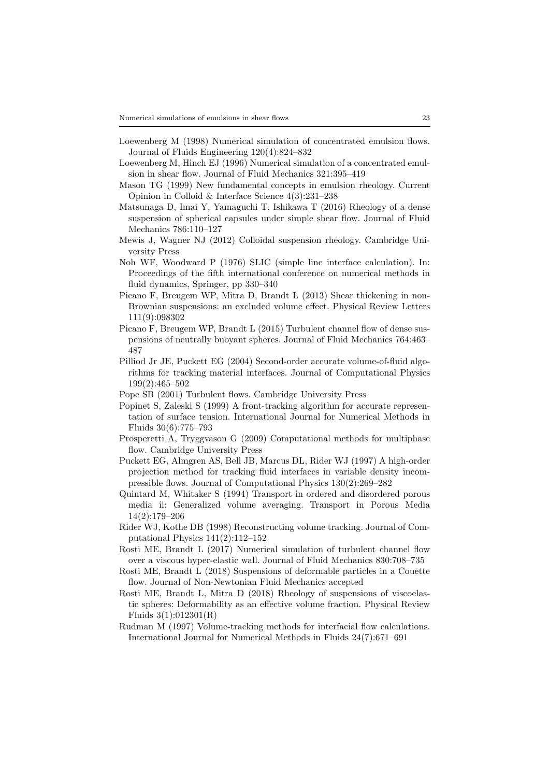- <span id="page-22-6"></span>Loewenberg M (1998) Numerical simulation of concentrated emulsion flows. Journal of Fluids Engineering 120(4):824–832
- <span id="page-22-5"></span>Loewenberg M, Hinch EJ (1996) Numerical simulation of a concentrated emulsion in shear flow. Journal of Fluid Mechanics 321:395–419
- <span id="page-22-4"></span>Mason TG (1999) New fundamental concepts in emulsion rheology. Current Opinion in Colloid & Interface Science 4(3):231–238
- <span id="page-22-17"></span>Matsunaga D, Imai Y, Yamaguchi T, Ishikawa T (2016) Rheology of a dense suspension of spherical capsules under simple shear flow. Journal of Fluid Mechanics 786:110–127
- <span id="page-22-0"></span>Mewis J, Wagner NJ (2012) Colloidal suspension rheology. Cambridge University Press
- <span id="page-22-8"></span>Noh WF, Woodward P (1976) SLIC (simple line interface calculation). In: Proceedings of the fifth international conference on numerical methods in fluid dynamics, Springer, pp 330–340
- <span id="page-22-3"></span>Picano F, Breugem WP, Mitra D, Brandt L (2013) Shear thickening in non-Brownian suspensions: an excluded volume effect. Physical Review Letters 111(9):098302
- <span id="page-22-13"></span>Picano F, Breugem WP, Brandt L (2015) Turbulent channel flow of dense suspensions of neutrally buoyant spheres. Journal of Fluid Mechanics 764:463– 487
- <span id="page-22-11"></span>Pilliod Jr JE, Puckett EG (2004) Second-order accurate volume-of-fluid algorithms for tracking material interfaces. Journal of Computational Physics 199(2):465–502
- <span id="page-22-18"></span>Pope SB (2001) Turbulent flows. Cambridge University Press
- <span id="page-22-16"></span>Popinet S, Zaleski S (1999) A front-tracking algorithm for accurate representation of surface tension. International Journal for Numerical Methods in Fluids 30(6):775–793
- <span id="page-22-7"></span>Prosperetti A, Tryggvason G (2009) Computational methods for multiphase flow. Cambridge University Press
- <span id="page-22-9"></span>Puckett EG, Almgren AS, Bell JB, Marcus DL, Rider WJ (1997) A high-order projection method for tracking fluid interfaces in variable density incompressible flows. Journal of Computational Physics 130(2):269–282
- <span id="page-22-12"></span>Quintard M, Whitaker S (1994) Transport in ordered and disordered porous media ii: Generalized volume averaging. Transport in Porous Media 14(2):179–206
- <span id="page-22-10"></span>Rider WJ, Kothe DB (1998) Reconstructing volume tracking. Journal of Computational Physics 141(2):112–152
- <span id="page-22-14"></span>Rosti ME, Brandt L (2017) Numerical simulation of turbulent channel flow over a viscous hyper-elastic wall. Journal of Fluid Mechanics 830:708–735
- <span id="page-22-2"></span>Rosti ME, Brandt L (2018) Suspensions of deformable particles in a Couette flow. Journal of Non-Newtonian Fluid Mechanics accepted
- <span id="page-22-1"></span>Rosti ME, Brandt L, Mitra D (2018) Rheology of suspensions of viscoelastic spheres: Deformability as an effective volume fraction. Physical Review Fluids 3(1):012301(R)
- <span id="page-22-15"></span>Rudman M (1997) Volume-tracking methods for interfacial flow calculations. International Journal for Numerical Methods in Fluids 24(7):671–691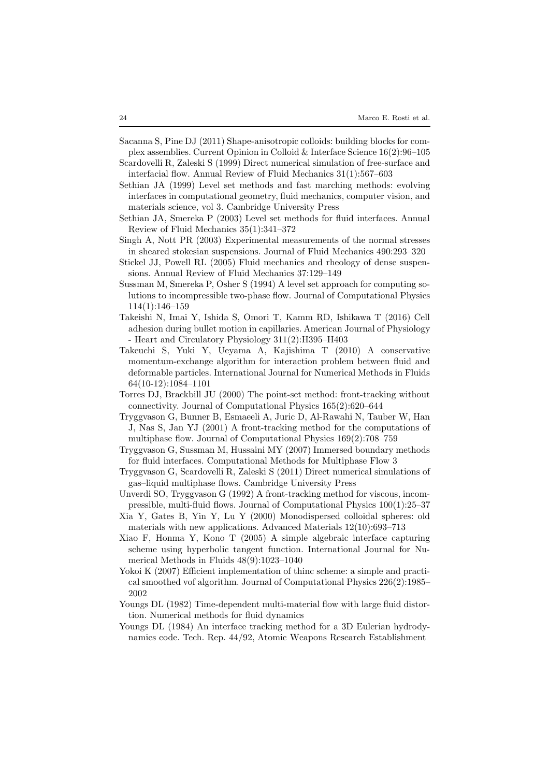- <span id="page-23-0"></span>Sacanna S, Pine DJ (2011) Shape-anisotropic colloids: building blocks for complex assemblies. Current Opinion in Colloid & Interface Science 16(2):96–105
- <span id="page-23-7"></span>Scardovelli R, Zaleski S (1999) Direct numerical simulation of free-surface and interfacial flow. Annual Review of Fluid Mechanics 31(1):567–603
- <span id="page-23-9"></span>Sethian JA (1999) Level set methods and fast marching methods: evolving interfaces in computational geometry, fluid mechanics, computer vision, and materials science, vol 3. Cambridge University Press
- <span id="page-23-10"></span>Sethian JA, Smereka P (2003) Level set methods for fluid interfaces. Annual Review of Fluid Mechanics 35(1):341–372
- <span id="page-23-3"></span>Singh A, Nott PR (2003) Experimental measurements of the normal stresses in sheared stokesian suspensions. Journal of Fluid Mechanics 490:293–320
- <span id="page-23-18"></span>Stickel JJ, Powell RL (2005) Fluid mechanics and rheology of dense suspensions. Annual Review of Fluid Mechanics 37:129–149
- <span id="page-23-8"></span>Sussman M, Smereka P, Osher S (1994) A level set approach for computing solutions to incompressible two-phase flow. Journal of Computational Physics 114(1):146–159
- <span id="page-23-2"></span>Takeishi N, Imai Y, Ishida S, Omori T, Kamm RD, Ishikawa T (2016) Cell adhesion during bullet motion in capillaries. American Journal of Physiology - Heart and Circulatory Physiology 311(2):H395–H403
- <span id="page-23-16"></span>Takeuchi S, Yuki Y, Ueyama A, Kajishima T (2010) A conservative momentum-exchange algorithm for interaction problem between fluid and deformable particles. International Journal for Numerical Methods in Fluids 64(10-12):1084–1101
- <span id="page-23-17"></span>Torres DJ, Brackbill JU (2000) The point-set method: front-tracking without connectivity. Journal of Computational Physics 165(2):620–644
- <span id="page-23-6"></span>Tryggvason G, Bunner B, Esmaeeli A, Juric D, Al-Rawahi N, Tauber W, Han J, Nas S, Jan YJ (2001) A front-tracking method for the computations of multiphase flow. Journal of Computational Physics 169(2):708–759
- <span id="page-23-15"></span>Tryggvason G, Sussman M, Hussaini MY (2007) Immersed boundary methods for fluid interfaces. Computational Methods for Multiphase Flow 3
- <span id="page-23-4"></span>Tryggvason G, Scardovelli R, Zaleski S (2011) Direct numerical simulations of gas–liquid multiphase flows. Cambridge University Press
- <span id="page-23-5"></span>Unverdi SO, Tryggvason G (1992) A front-tracking method for viscous, incompressible, multi-fluid flows. Journal of Computational Physics 100(1):25–37
- <span id="page-23-1"></span>Xia Y, Gates B, Yin Y, Lu Y (2000) Monodispersed colloidal spheres: old materials with new applications. Advanced Materials 12(10):693–713
- <span id="page-23-13"></span>Xiao F, Honma Y, Kono T (2005) A simple algebraic interface capturing scheme using hyperbolic tangent function. International Journal for Numerical Methods in Fluids 48(9):1023–1040
- <span id="page-23-14"></span>Yokoi K (2007) Efficient implementation of thinc scheme: a simple and practical smoothed vof algorithm. Journal of Computational Physics 226(2):1985– 2002
- <span id="page-23-11"></span>Youngs DL (1982) Time-dependent multi-material flow with large fluid distortion. Numerical methods for fluid dynamics
- <span id="page-23-12"></span>Youngs DL (1984) An interface tracking method for a 3D Eulerian hydrodynamics code. Tech. Rep. 44/92, Atomic Weapons Research Establishment